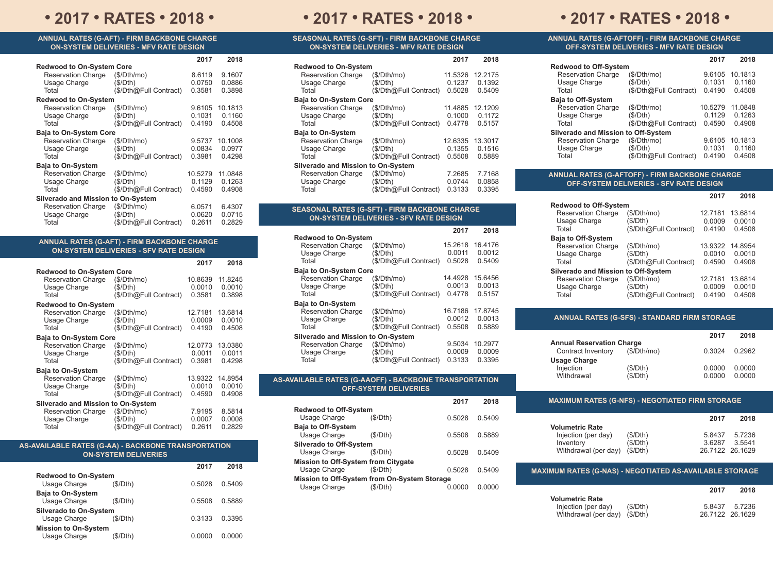## **• 2017 • RATES • 2018 • • 2017 • RATES • 2018 • • 2017 • RATES • 2018 •**

#### **ANNUAL RATES (G-AFT) - FIRM BACKBONE CHARGE ON-SYSTEM DELIVERIES - MFV RATE DESIGN**

|                               |                                                                                                                                                                                           | 2018                                                             |
|-------------------------------|-------------------------------------------------------------------------------------------------------------------------------------------------------------------------------------------|------------------------------------------------------------------|
|                               |                                                                                                                                                                                           |                                                                  |
|                               |                                                                                                                                                                                           |                                                                  |
|                               |                                                                                                                                                                                           | 9.1607                                                           |
|                               |                                                                                                                                                                                           | 0.0886                                                           |
|                               |                                                                                                                                                                                           | 0.3898                                                           |
|                               |                                                                                                                                                                                           |                                                                  |
| (S/Dth/mol)                   | 9.6105                                                                                                                                                                                    | 10.1813                                                          |
| (S/Dth)                       | 0.1031                                                                                                                                                                                    | 0.1160                                                           |
| (\$/Dth@Full Contract)        | 0.4190                                                                                                                                                                                    | 0.4508                                                           |
| <b>Baja to On-System Core</b> |                                                                                                                                                                                           |                                                                  |
| (S/Dth/mol)                   | 9.5737                                                                                                                                                                                    | 10.1008                                                          |
| (S/Dth)                       |                                                                                                                                                                                           | 0.0977                                                           |
| (\$/Dth@Full Contract)        | 0.3981                                                                                                                                                                                    | 0.4298                                                           |
|                               |                                                                                                                                                                                           |                                                                  |
| (S/Dth/mol)                   | 10.5279                                                                                                                                                                                   | 11.0848                                                          |
| (S/Dth)                       | 0.1129                                                                                                                                                                                    | 0.1263                                                           |
|                               | 0.4590                                                                                                                                                                                    | 0.4908                                                           |
|                               |                                                                                                                                                                                           |                                                                  |
| (S/Dth/mol)                   | 6.0571                                                                                                                                                                                    | 6.4307                                                           |
|                               |                                                                                                                                                                                           | 0.0715                                                           |
|                               |                                                                                                                                                                                           | 0.2829                                                           |
| <b>Redwood to On-System</b>   | <b>Redwood to On-System Core</b><br>(\$/Dth/mo)<br>(S/Dth)<br>(\$/Dth@Full Contract)<br>(\$/Dth@Full Contract)<br>Silverado and Mission to On-System<br>(S/Dth)<br>(\$/Dth@Full Contract) | 2017<br>8.6119<br>0.0750<br>0.3581<br>0.0834<br>0.0620<br>0.2611 |

| <b>ANNUAL RATES (G-AFT) - FIRM BACKBONE CHARGE</b><br><b>ON-SYSTEM DELIVERIES - SFV RATE DESIGN</b> |                                                   |                             |                             |
|-----------------------------------------------------------------------------------------------------|---------------------------------------------------|-----------------------------|-----------------------------|
|                                                                                                     |                                                   | 2017                        | 2018                        |
| <b>Redwood to On-System Core</b><br><b>Reservation Charge</b><br>Usage Charge<br>Total              | (S/Dth/mol)<br>(S/Dth)<br>(\$/Dth@Full Contract)  | 10.8639<br>0.0010<br>0.3581 | 11.8245<br>0.0010<br>0.3898 |
| <b>Redwood to On-System</b><br><b>Reservation Charge</b><br>Usage Charge<br>Total                   | (\$/Dth/mol)<br>(S/Dth)<br>(\$/Dth@Full Contract) | 12.7181<br>0.0009<br>0.4190 | 13.6814<br>0.0010<br>0.4508 |
| <b>Baja to On-System Core</b><br><b>Reservation Charge</b><br>Usage Charge<br>Total                 | (\$/Dth/mol)<br>(S/Dth)<br>(\$/Dth@Full Contract) | 12.0773<br>0.0011<br>0.3981 | 13.0380<br>0.0011<br>0.4298 |
| <b>Baja to On-System</b><br><b>Reservation Charge</b><br>Usage Charge<br>Total                      | (\$/Dth/mol)<br>(S/Dth)<br>(\$/Dth@Full Contract) | 13.9322<br>0.0010<br>0.4590 | 14.8954<br>0.0010<br>0.4908 |
| Silverado and Mission to On-System<br><b>Reservation Charge</b><br>Usage Charge<br>Total            | (S/Dth/mol)<br>(S/Dth)<br>(\$/Dth@Full Contract)  | 7.9195<br>0.0007<br>0.2611  | 8.5814<br>0.0008<br>0.2829  |

| AS-AVAILABLE RATES (G-AA) - BACKBONE TRANSPORTATION | <b>ON-SYSTEM DELIVERIES</b> |        |        |
|-----------------------------------------------------|-----------------------------|--------|--------|
|                                                     |                             | 2017   | 2018   |
| <b>Redwood to On-System</b>                         |                             |        |        |
| Usage Charge                                        | (S/Dth)                     | 0.5028 | 0.5409 |

0.5508 0.5889

0.3133 0.3395

0.0000 0.0000

**Baja to On-System**

Usage Charge (\$/Dth) **Silverado to On-System** Usage Charge (\$/Dth) **Mission to On-System** Usage Charge (\$/Dth)

| SEASONAL RATES (G-SFT) - FIRM BACKBONE CHARGE ' |
|-------------------------------------------------|
| <b>ON-SYSTEM DELIVERIES - MFV RATE DESIGN</b>   |

|                                    |                        | 2017    | 2018    |  |
|------------------------------------|------------------------|---------|---------|--|
| <b>Redwood to On-System</b>        |                        |         |         |  |
| <b>Reservation Charge</b>          | (\$/Dth/mol)           | 11.5326 | 12.2175 |  |
| Usage Charge                       | (S/Dth)                | 0.1237  | 0.1392  |  |
| Total                              | (\$/Dth@Full Contract) | 0.5028  | 0.5409  |  |
| <b>Baja to On-System Core</b>      |                        |         |         |  |
| <b>Reservation Charge</b>          | (S/Dth/mol)            | 11.4885 | 12.1209 |  |
| Usage Charge                       | (S/Dth)                | 0.1000  | 0.1172  |  |
| Total                              | (\$/Dth@Full Contract) | 0.4778  | 0.5157  |  |
| <b>Baja to On-System</b>           |                        |         |         |  |
| <b>Reservation Charge</b>          | (S/Dth/mol)            | 12.6335 | 13.3017 |  |
| Usage Charge                       | (S/Dth)                | 0.1355  | 0.1516  |  |
| Total                              | (\$/Dth@Full Contract) | 0.5508  | 0.5889  |  |
| Silverado and Mission to On-System |                        |         |         |  |
| <b>Reservation Charge</b>          | (S/Dth/mol)            | 7.2685  | 7.7168  |  |
| Usage Charge                       | (S/Dth)                | 0.0744  | 0.0858  |  |
| Total                              | (\$/Dth@Full Contract) | 0.3133  | 0.3395  |  |

### **SEASONAL RATES (G-SFT) - FIRM BACKBONE CHARGE ON-SYSTEM DELIVERIES - SFV RATE DESIGN**

|                                    |                        | 2017    | 2018    |
|------------------------------------|------------------------|---------|---------|
| <b>Redwood to On-System</b>        |                        |         |         |
| <b>Reservation Charge</b>          | (\$/Dth/mol)           | 15.2618 | 16.4176 |
| Usage Charge                       | (S/Dth)                | 0.0011  | 0.0012  |
| Total                              | (\$/Dth@Full Contract) | 0.5028  | 0.5409  |
| <b>Baja to On-System Core</b>      |                        |         |         |
| <b>Reservation Charge</b>          | (S/Dth/mol)            | 14.4928 | 15.6456 |
| Usage Charge                       | (S/Dth)                | 0.0013  | 0.0013  |
| Total                              | (\$/Dth@Full Contract) | 0.4778  | 0.5157  |
| <b>Baja to On-System</b>           |                        |         |         |
| <b>Reservation Charge</b>          | (\$/Dth/mol)           | 16.7186 | 17.8745 |
| Usage Charge                       | (S/Dth)                | 0.0012  | 0.0013  |
| Total                              | (\$/Dth@Full Contract) | 0.5508  | 0.5889  |
| Silverado and Mission to On-System |                        |         |         |
| <b>Reservation Charge</b>          | (S/Dth/mol)            | 9.5034  | 10.2977 |
| Usage Charge                       | (S/Dth)                | 0.0009  | 0.0009  |
| Total                              | (\$/Dth@Full Contract) | 0.3133  | 0.3395  |

| <b>AS-AVAILABLE RATES (G-AAOFF) - BACKBONE TRANSPORTATION</b> |
|---------------------------------------------------------------|
| <b>OFF-SYSTEM DELIVERIES</b>                                  |

|                                              |          | 2017   | 2018   |
|----------------------------------------------|----------|--------|--------|
| <b>Redwood to Off-System</b>                 |          |        |        |
| Usage Charge                                 | (\$/Dth) | 0.5028 | 0.5409 |
| <b>Baja to Off-System</b>                    |          |        |        |
| Usage Charge                                 | (\$/Dth) | 0.5508 | 0.5889 |
| <b>Silverado to Off-System</b>               |          |        |        |
| Usage Charge                                 | (S/Dth)  | 0.5028 | 0.5409 |
| <b>Mission to Off-System from Citygate</b>   |          |        |        |
| Usage Charge                                 | (S/Dth)  | 0.5028 | 0.5409 |
| Mission to Off-System from On-System Storage |          |        |        |
| Usage Charge                                 | (S/Dth)  | 0 0000 | 0.0000 |

#### **ANNUAL RATES (G-AFTOFF) - FIRM BACKBONE CHARGE OFF-SYSTEM DELIVERIES - MFV RATE DESIGN**

|                                            | 2017    | 2018    |
|--------------------------------------------|---------|---------|
| <b>Redwood to Off-System</b>               |         |         |
| (S/Dth/mol)                                | 9.6105  | 10.1813 |
| (S/Dth)                                    | 0.1031  | 0.1160  |
| (\$/Dth@Full Contract)                     | 0.4190  | 0.4508  |
|                                            |         |         |
| (\$/Dth/mol)                               | 10.5279 | 11.0848 |
| (S/Dth)                                    | 0.1129  | 0.1263  |
| (\$/Dth@Full Contract)                     | 0.4590  | 0.4908  |
| <b>Silverado and Mission to Off-System</b> |         |         |
| (S/Dth/mol)                                | 9.6105  | 10.1813 |
| (S/Dth)                                    | 0.1031  | 0.1160  |
| (\$/Dth@Full Contract)                     | 0.4190  | 0.4508  |
|                                            |         |         |

#### **ANNUAL RATES (G-AFTOFF) - FIRM BACKBONE CHARGE OFF-SYSTEM DELIVERIES - SFV RATE DESIGN**

|                                     |                        | 2017    | 2018    |
|-------------------------------------|------------------------|---------|---------|
| <b>Redwood to Off-System</b>        |                        |         |         |
| <b>Reservation Charge</b>           | (S/Dth/mol)            | 12.7181 | 13.6814 |
| Usage Charge                        | (S/Dth)                | 0.0009  | 0.0010  |
| Total                               | (\$/Dth@Full Contract) | 0.4190  | 0.4508  |
| <b>Baja to Off-System</b>           |                        |         |         |
| <b>Reservation Charge</b>           | (\$/Dth/mol)           | 13.9322 | 14.8954 |
| Usage Charge                        | (S/Dth)                | 0.0010  | 0.0010  |
| Total                               | (\$/Dth@Full Contract) | 0.4590  | 0.4908  |
| Silverado and Mission to Off-System |                        |         |         |
| <b>Reservation Charge</b>           | (S/Dth/mol)            | 12.7181 | 13.6814 |
| Usage Charge                        | (S/Dth)                | 0.0009  | 0.0010  |
| Total                               | (\$/Dth@Full Contract) | 0.4190  | 0.4508  |

#### **ANNUAL RATES (G-SFS) - STANDARD FIRM STORAGE**

|             | 2017                             | 2018   |
|-------------|----------------------------------|--------|
|             |                                  |        |
| (S/Dth/mol) | 0.3024                           | 0.2962 |
|             |                                  |        |
| (S/Dth)     | 0.0000                           | 0.0000 |
| (S/Dth)     | 0.0000                           | 0.0000 |
|             | <b>Annual Reservation Charge</b> |        |

#### **MAXIMUM RATES (G-NFS) - NEGOTIATED FIRM STORAGE**

| <b>Volumetric Rate</b>                             |  |
|----------------------------------------------------|--|
|                                                    |  |
| Injection (per day)<br>(S/Dth)<br>5.8437<br>5.7236 |  |
| (S/Dth)<br>36287<br>3.5541<br>Inventory            |  |
| Withdrawal (per day) (\$/Dth)<br>26.7122 26.1629   |  |

### **MAXIMUM RATES (G-NAS) - NEGOTIATED AS-AVAILABLE STORAGE**

|                               |         | 2017   | 2018            |
|-------------------------------|---------|--------|-----------------|
| <b>Volumetric Rate</b>        |         |        |                 |
| Injection (per day)           | (S/Dth) | 5 8437 | 5.7236          |
| Withdrawal (per day) (\$/Dth) |         |        | 26.7122 26.1629 |